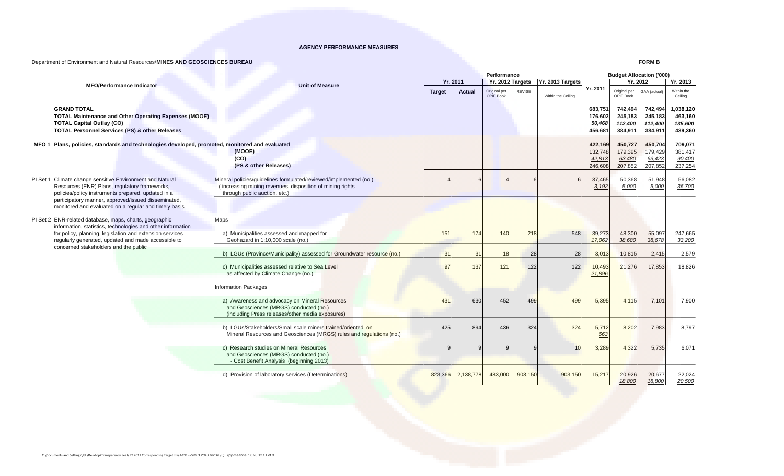## **AGENCY PERFORMANCE MEASURES**

## Department of Environment and Natural Resources/**MINES AND GEOSCIENCES BUREAU**

**FORM B**

|                                                                                                |                                                                         | Performance   |                 |                                  |               |                                     | <b>Budget Allocation ('000)</b> |                           |              |                       |
|------------------------------------------------------------------------------------------------|-------------------------------------------------------------------------|---------------|-----------------|----------------------------------|---------------|-------------------------------------|---------------------------------|---------------------------|--------------|-----------------------|
| <b>MFO/Performance Indicator</b>                                                               | <b>Unit of Measure</b>                                                  |               | <b>Yr. 2011</b> |                                  |               | Yr. 2012 Targets   Yr. 2013 Targets |                                 | Yr. 2012                  |              | Yr. 2013              |
|                                                                                                |                                                                         | <b>Target</b> | <b>Actual</b>   | Original per<br><b>OPIF Book</b> | <b>REVISE</b> | Within the Ceiling                  | Yr. 2011                        | Original per<br>OPIF Book | GAA (actual) | Within the<br>Ceiling |
|                                                                                                |                                                                         |               |                 |                                  |               |                                     |                                 |                           |              |                       |
| <b>GRAND TOTAL</b>                                                                             |                                                                         |               |                 |                                  |               |                                     | 683,751                         | 742,494                   | 742,494      | 1,038,120             |
| <b>TOTAL Maintenance and Other Operating Expenses (MOOE)</b>                                   |                                                                         |               |                 |                                  |               |                                     | 176.602                         | 245.183                   | 245.183      | 463.160               |
| <b>TOTAL Capital Outlay (CO)</b>                                                               |                                                                         |               |                 |                                  |               |                                     | 50,468                          | 112,400                   | 112,400      | 135,600               |
| <b>TOTAL Personnel Services (PS) &amp; other Releases</b>                                      |                                                                         |               |                 |                                  |               |                                     | 456,681                         | 384,911                   | 384,911      | 439,360               |
| MFO 1 Plans, policies, standards and technologies developed, promoted, monitored and evaluated |                                                                         |               |                 |                                  |               |                                     | 422,169                         | 450,727                   | 450,704      | 709,071               |
|                                                                                                | (MOOE)                                                                  |               |                 |                                  |               |                                     | 132,748                         | 179,395                   | 179,429      | 381,417               |
|                                                                                                | (CO)                                                                    |               |                 |                                  |               |                                     | 42.813                          | 63.480                    | 63.423       | 90,400                |
|                                                                                                | (PS & other Releases)                                                   |               |                 |                                  |               |                                     | 246,608                         | 207.852                   | 207,852      | 237,254               |
|                                                                                                |                                                                         |               |                 |                                  |               |                                     |                                 |                           |              |                       |
| PI Set 1 Climate change sensitive Environment and Natural                                      | Mineral policies/guidelines formulated/reviewed/implemented (no.)       |               |                 |                                  |               |                                     | 37,465                          | 50,368                    | 51,948       | 56,082                |
| Resources (ENR) Plans, regulatory frameworks,                                                  | (increasing mining revenues, disposition of mining rights               |               |                 |                                  |               |                                     | 3,192                           | 5,000                     | 5,000        | 36,700                |
| policies/policy instruments prepared, updated in a                                             | through public auction, etc.)                                           |               |                 |                                  |               |                                     |                                 |                           |              |                       |
| participatory manner, approved/issued disseminated,                                            |                                                                         |               |                 |                                  |               |                                     |                                 |                           |              |                       |
| monitored and evaluated on a regular and timely basis                                          |                                                                         |               |                 |                                  |               |                                     |                                 |                           |              |                       |
|                                                                                                |                                                                         |               |                 |                                  |               |                                     |                                 |                           |              |                       |
| PI Set 2 ENR-related database, maps, charts, geographic                                        | Maps                                                                    |               |                 |                                  |               |                                     |                                 |                           |              |                       |
| information, statistics, technologies and other information                                    |                                                                         |               |                 |                                  |               |                                     |                                 |                           |              |                       |
| for policy, planning, legislation and extension services                                       | a) Municipalities assessed and mapped for                               | 151           | 174             | 140                              | 218           | 548                                 | 39,273                          | 48,300                    | 55,097       | 247,665               |
| regularly generated, updated and made accessible to                                            | Geohazard in 1:10,000 scale (no.)                                       |               |                 |                                  |               |                                     | 17,062                          | 38,680                    | 38,678       | 33,200                |
| concerned stakeholders and the public                                                          |                                                                         |               |                 |                                  |               |                                     |                                 |                           |              |                       |
|                                                                                                | b) LGUs (Province/Municipality) assessed for Groundwater resource (no.) | 31            | 31              | 18                               | 28            | 28                                  | 3,013                           | 10,815                    | 2,415        | 2,579                 |
|                                                                                                | c) Municipalities assessed relative to Sea Level                        | 97            | 137             |                                  |               | 122                                 | 10,493                          | 21,276                    | 17,853       | 18,826                |
|                                                                                                | as affected by Climate Change (no.)                                     |               |                 | 121                              | 122           |                                     | 21,896                          |                           |              |                       |
|                                                                                                |                                                                         |               |                 |                                  |               |                                     |                                 |                           |              |                       |
|                                                                                                | Information Packages                                                    |               |                 |                                  |               |                                     |                                 |                           |              |                       |
|                                                                                                | a) Awareness and advocacy on Mineral Resources                          | 431           | 630             | 452                              | 499           | 499                                 | 5,395                           | 4,115                     | 7,101        | 7,900                 |
|                                                                                                | and Geosciences (MRGS) conducted (no.)                                  |               |                 |                                  |               |                                     |                                 |                           |              |                       |
|                                                                                                | (including Press releases/other media exposures)                        |               |                 |                                  |               |                                     |                                 |                           |              |                       |
|                                                                                                |                                                                         |               |                 |                                  |               |                                     |                                 |                           |              |                       |
|                                                                                                | b) LGUs/Stakeholders/Small scale miners trained/oriented on             | 425           | 894             | 436                              | 324           | 324                                 | 5,712                           | 8,202                     | 7,983        | 8,797                 |
|                                                                                                | Mineral Resources and Geosciences (MRGS) rules and regulations (no.)    |               |                 |                                  |               |                                     | 663                             |                           |              |                       |
|                                                                                                |                                                                         |               |                 |                                  |               |                                     |                                 |                           |              |                       |
|                                                                                                | c) Research studies on Mineral Resources                                |               |                 |                                  |               | 10                                  | 3,289                           | 4,322                     | 5,735        | 6,071                 |
|                                                                                                | and Geosciences (MRGS) conducted (no.)                                  |               |                 |                                  |               |                                     |                                 |                           |              |                       |
|                                                                                                | - Cost Benefit Analysis (beginning 2013)                                |               |                 |                                  |               |                                     |                                 |                           |              |                       |
|                                                                                                |                                                                         |               |                 |                                  |               |                                     |                                 |                           |              |                       |
|                                                                                                | d) Provision of laboratory services (Determinations)                    | 823,366       | 2,138,778       | 483,000                          | 903,150       | 903,150                             | 15,217                          | 20,926                    | 20,677       | 22,024                |
|                                                                                                |                                                                         |               |                 |                                  |               |                                     |                                 | 18,800                    | 18,800       | 20,500                |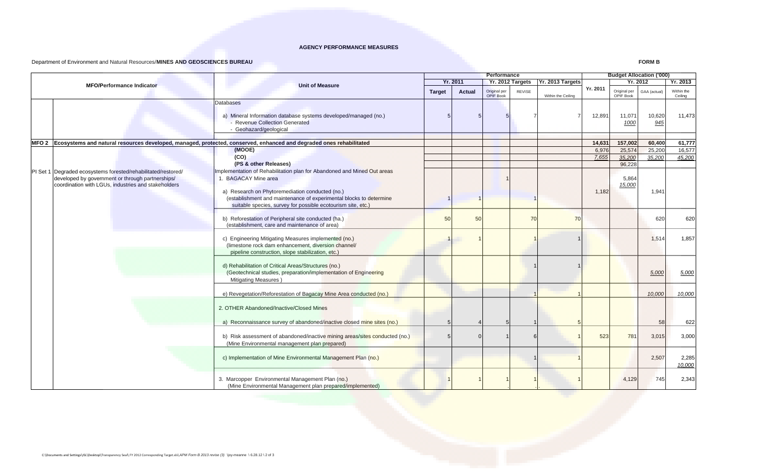## **AGENCY PERFORMANCE MEASURES**

## Department of Environment and Natural Resources/**MINES AND GEOSCIENCES BUREAU**

**FORM B**

| <b>MFO/Performance Indicator</b>                              |                                                                                                                                                                  | Performance   |                 |                                     |               |                    | <b>Budget Allocation ('000)</b> |                           |                  |                       |
|---------------------------------------------------------------|------------------------------------------------------------------------------------------------------------------------------------------------------------------|---------------|-----------------|-------------------------------------|---------------|--------------------|---------------------------------|---------------------------|------------------|-----------------------|
|                                                               |                                                                                                                                                                  |               | <b>Yr. 2011</b> | Yr. 2012 Targets   Yr. 2013 Targets |               |                    |                                 | Yr. 2012                  |                  | Yr. 2013              |
|                                                               | <b>Unit of Measure</b>                                                                                                                                           | <b>Target</b> | <b>Actual</b>   | Original per<br><b>OPIF Book</b>    | <b>REVISE</b> | Within the Ceiling | Yr. 2011                        | Original per<br>OPIF Book | GAA (actual)     | Within the<br>Ceiling |
|                                                               | Databases                                                                                                                                                        |               |                 |                                     |               |                    |                                 |                           |                  |                       |
|                                                               | a) Mineral Information database systems developed/managed (no.)<br>- Revenue Collection Generated<br>- Geohazard/geological                                      |               |                 |                                     |               |                    | 12,891                          | 11,071<br>1000            | 10,620<br>945    | 11,473                |
|                                                               |                                                                                                                                                                  |               |                 |                                     |               |                    |                                 |                           |                  |                       |
|                                                               | MFO 2 Ecosystems and natural resources developed, managed, protected, conserved, enhanced and degraded ones rehabilitated<br>(MOOE)                              |               |                 |                                     |               |                    | 14,631<br>6,976                 | 157,002<br>25,574         | 60,400<br>25,200 | 61,777<br>16,577      |
|                                                               | (CO)                                                                                                                                                             |               |                 |                                     |               |                    | 7,655                           | 35,200                    | 35,200           | 45,200                |
|                                                               | (PS & other Releases)                                                                                                                                            |               |                 |                                     |               |                    |                                 | 96.228                    |                  |                       |
| PI Set 1 Degraded ecosystems forested/rehabilitated/restored/ | Implementation of Rehabilitation plan for Abandoned and Mined Out areas                                                                                          |               |                 |                                     |               |                    |                                 |                           |                  |                       |
| developed by government or through partnerships/              | <b>BAGACAY Mine area</b>                                                                                                                                         |               |                 |                                     |               |                    |                                 | 5,864                     |                  |                       |
| coordination with LGUs, industries and stakeholders           |                                                                                                                                                                  |               |                 |                                     |               |                    |                                 | 15,000                    |                  |                       |
|                                                               | a) Research on Phytoremediation conducted (no.)                                                                                                                  |               |                 |                                     |               |                    | 1,182                           |                           | 1,941            |                       |
|                                                               | (establishment and maintenance of experimental blocks to determine<br>suitable species, survey for possible ecotourism site, etc.)                               |               |                 |                                     |               |                    |                                 |                           |                  |                       |
|                                                               |                                                                                                                                                                  |               |                 |                                     |               |                    |                                 |                           |                  |                       |
|                                                               | b) Reforestation of Peripheral site conducted (ha.)                                                                                                              | 50            | 50              |                                     | 70            | 70                 |                                 |                           | 620              | 620                   |
|                                                               | (establishment, care and maintenance of area)                                                                                                                    |               |                 |                                     |               |                    |                                 |                           |                  |                       |
|                                                               | c) Engineering Mitigating Measures implemented (no.)<br>(limestone rock dam enhancement, diversion channel/<br>pipeline construction, slope stabilization, etc.) |               |                 |                                     |               |                    |                                 |                           | 1,514            | 1,857                 |
|                                                               | d) Rehabilitation of Critical Areas/Structures (no.)<br>(Geotechnical studies, preparation/implementation of Engineering<br><b>Mitigating Measures</b> )         |               |                 |                                     |               |                    |                                 |                           | 5,000            | 5,000                 |
|                                                               | e) Revegetation/Reforestation of Bagacay Mine Area conducted (no.)                                                                                               |               |                 |                                     |               |                    |                                 |                           | 10,000           | 10,000                |
|                                                               | 2. OTHER Abandoned/Inactive/Closed Mines                                                                                                                         |               |                 |                                     |               |                    |                                 |                           |                  |                       |
|                                                               | a) Reconnaissance survey of abandoned/inactive closed mine sites (no.)                                                                                           |               |                 |                                     |               |                    |                                 |                           | 58               | 622                   |
|                                                               | b) Risk assessment of abandoned/inactive mining areas/sites conducted (no.)<br>(Mine Environmental management plan prepared)                                     |               |                 |                                     |               |                    | 523                             | 781                       | 3,015            | 3,000                 |
|                                                               | c) Implementation of Mine Environmental Management Plan (no.)                                                                                                    |               |                 |                                     |               |                    |                                 |                           | 2,507            | 2,285<br>10,000       |
|                                                               | 3. Marcopper Environmental Management Plan (no.)<br>(Mine Environmental Management plan prepared/implemented)                                                    |               |                 |                                     |               |                    |                                 | 4,129                     | 745              | 2,343                 |